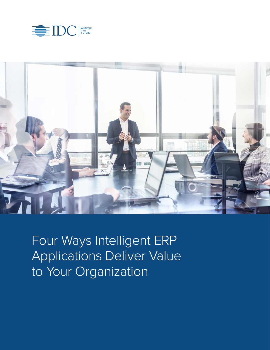



Four Ways Intelligent ERP Applications Deliver Value to Your Organization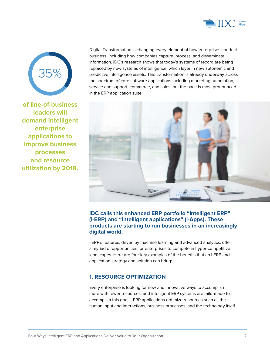



**of line-of-business leaders will demand intelligent enterprise applications to improve business processes and resource utilization by 2018.** Digital Transformation is changing every element of how enterprises conduct business, including how companies capture, process, and disseminate information. IDC's research shows that today's systems of record are being replaced by new systems of intelligence, which layer in new autonomic and predictive intelligence assets. This transformation is already underway across the spectrum of core software applications including marketing automation, service and support, commerce, and sales, but the pace is most pronounced in the ERP application suite.



## **IDC calls this enhanced ERP portfolio "intelligent ERP" (i-ERP) and "intelligent applications" (i-Apps). These products are starting to run businesses in an increasingly digital world.**

i-ERP's features, driven by machine learning and advanced analytics, offer a myriad of opportunities for enterprises to compete in hyper-competitive landscapes. Here are four key examples of the benefits that an i-ERP and application strategy and solution can bring:

### **1. RESOURCE OPTIMIZATION**

Every enterprise is looking for new and innovative ways to accomplish more with fewer resources, and intelligent ERP systems are tailormade to accomplish this goal. i-ERP applications optimize resources such as the human input and interactions, business processes, and the technology itself.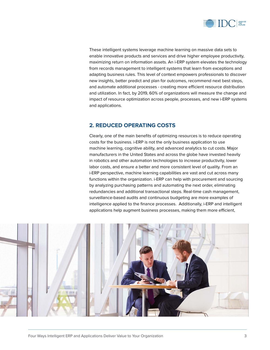

These intelligent systems leverage machine learning on massive data sets to enable innovative products and services and drive higher employee productivity, maximizing return on information assets. An i-ERP system elevates the technology from records management to intelligent systems that learn from exceptions and adapting business rules. This level of context empowers professionals to discover new insights, better predict and plan for outcomes, recommend next best steps, and automate additional processes - creating more efficient resource distribution and utilization. In fact, by 2019, 60% of organizations will measure the change and impact of resource optimization across people, processes, and new i-ERP systems and applications.

## **2. REDUCED OPERATING COSTS**

Clearly, one of the main benefits of optimizing resources is to reduce operating costs for the business. i-ERP is not the only business application to use machine learning, cognitive ability, and advanced analytics to cut costs. Major manufacturers in the United States and across the globe have invested heavily in robotics and other automation technologies to increase productivity, lower labor costs, and ensure a better and more consistent level of quality. From an i-ERP perspective, machine learning capabilities are vast and cut across many functions within the organization. i-ERP can help with procurement and sourcing by analyzing purchasing patterns and automating the next order, eliminating redundancies and additional transactional steps. Real-time cash management, surveillance-based audits and continuous budgeting are more examples of intelligence applied to the finance processes. Additionally, i-ERP and intelligent applications help augment business processes, making them more efficient,

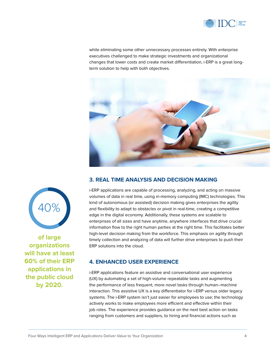

while eliminating some other unnecessary processes entirely. With enterprise executives challenged to make strategic investments and organizational changes that lower costs and create market differentiation, i-ERP is a great longterm solution to help with both objectives.



# **3. REAL TIME ANALYSIS AND DECISION MAKING**

i-ERP applications are capable of processing, analyzing, and acting on massive volumes of data in real time, using in-memory computing (IMC) technologies. This kind of autonomous (or assisted) decision making gives enterprises the agility and flexibility to adapt to obstacles or pivot in real-time, creating a competitive edge in the digital economy. Additionally, these systems are scalable to enterprises of all sizes and have anytime, anywhere interfaces that drive crucial information flow to the right human parties at the right time. This facilitates better high-level decision making from the workforce. This emphasis on agility through timely collection and analyzing of data will further drive enterprises to push their ERP solutions into the cloud.

### **4. ENHANCED USER EXPERIENCE**

i-ERP applications feature an assistive and conversational user experience (UX) by automating a set of high-volume repeatable tasks and augmenting the performance of less frequent, more novel tasks through human–machine interaction. This assistive UX is a key differentiator for i-ERP versus older legacy systems. The i-ERP system isn't just easier for employees to use; the technology actively works to make employees more efficient and effective within their job roles. The experience provides guidance on the next best action on tasks ranging from customers and suppliers, to hiring and financial actions such as



**of large organizations will have at least 60% of their ERP applications in the public cloud by 2020.**